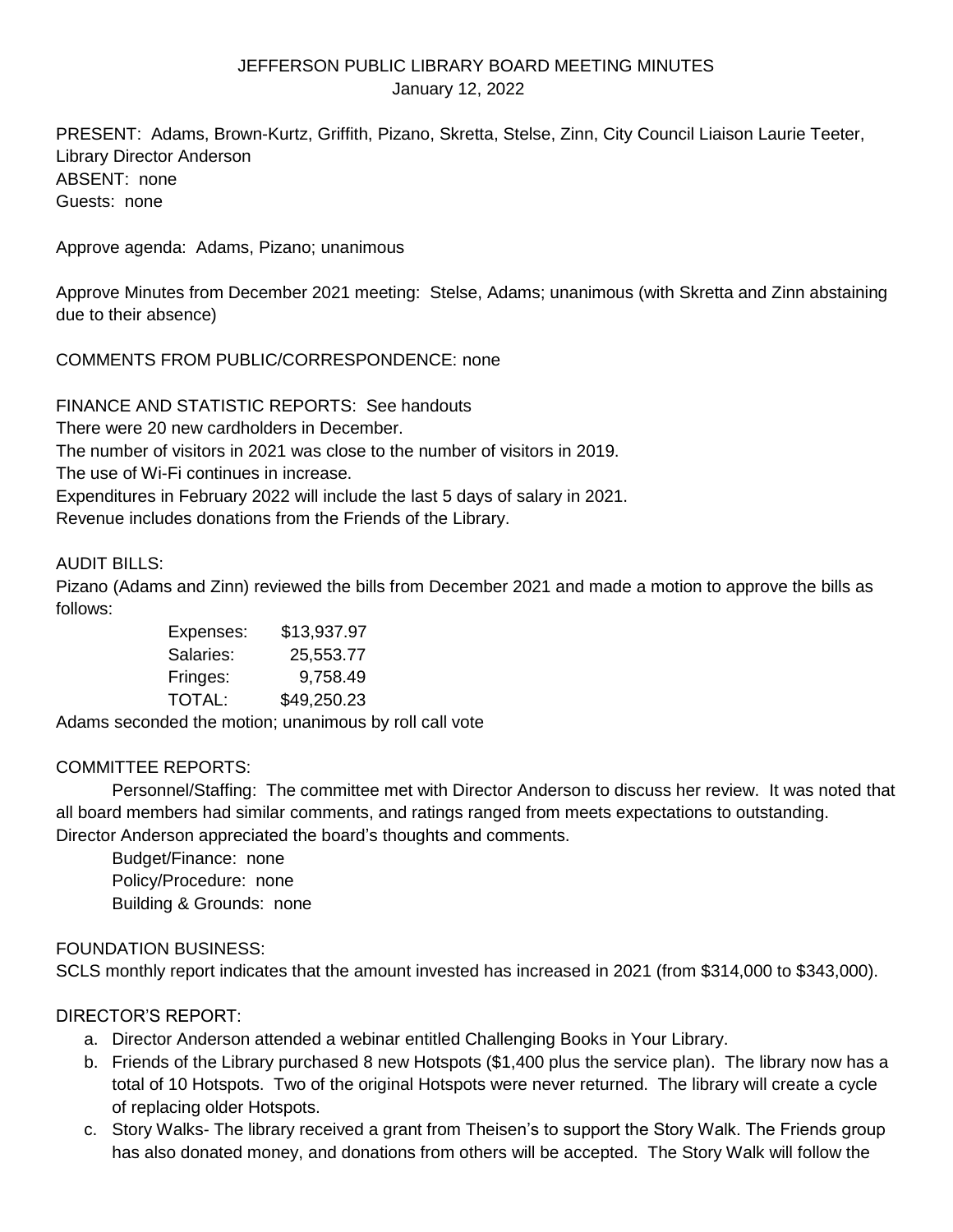## JEFFERSON PUBLIC LIBRARY BOARD MEETING MINUTES January 12, 2022

PRESENT: Adams, Brown-Kurtz, Griffith, Pizano, Skretta, Stelse, Zinn, City Council Liaison Laurie Teeter, Library Director Anderson ABSENT: none Guests: none

Approve agenda: Adams, Pizano; unanimous

Approve Minutes from December 2021 meeting: Stelse, Adams; unanimous (with Skretta and Zinn abstaining due to their absence)

COMMENTS FROM PUBLIC/CORRESPONDENCE: none

FINANCE AND STATISTIC REPORTS: See handouts There were 20 new cardholders in December. The number of visitors in 2021 was close to the number of visitors in 2019. The use of Wi-Fi continues in increase. Expenditures in February 2022 will include the last 5 days of salary in 2021. Revenue includes donations from the Friends of the Library.

# AUDIT BILLS:

Pizano (Adams and Zinn) reviewed the bills from December 2021 and made a motion to approve the bills as follows:

> Expenses: \$13,937.97 Salaries: 25,553.77 Fringes: 9,758.49 TOTAL: \$49,250.23

Adams seconded the motion; unanimous by roll call vote

## COMMITTEE REPORTS:

Personnel/Staffing: The committee met with Director Anderson to discuss her review. It was noted that all board members had similar comments, and ratings ranged from meets expectations to outstanding. Director Anderson appreciated the board's thoughts and comments.

Budget/Finance: none Policy/Procedure: none Building & Grounds: none

## FOUNDATION BUSINESS:

SCLS monthly report indicates that the amount invested has increased in 2021 (from \$314,000 to \$343,000).

## DIRECTOR'S REPORT:

- a. Director Anderson attended a webinar entitled Challenging Books in Your Library.
- b. Friends of the Library purchased 8 new Hotspots (\$1,400 plus the service plan). The library now has a total of 10 Hotspots. Two of the original Hotspots were never returned. The library will create a cycle of replacing older Hotspots.
- c. Story Walks- The library received a grant from Theisen's to support the Story Walk. The Friends group has also donated money, and donations from others will be accepted. The Story Walk will follow the